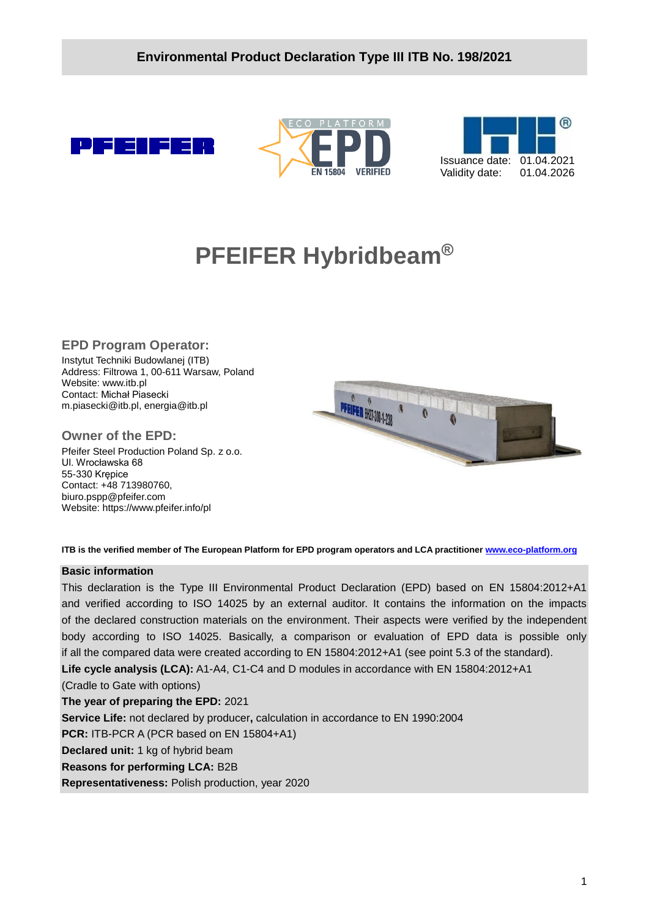





# **PFEIFER Hybridbeam®**

#### **EPD Program Operator:**

Instytut Techniki Budowlanej (ITB) Address: Filtrowa 1, 00-611 Warsaw, Poland Website: www.itb.pl Contact: Michał Piasecki m.piasecki@itb.pl, energia@itb.pl

#### **Owner of the EPD:**

Pfeifer Steel Production Poland Sp. z o.o. Ul. Wrocławska 68 55-330 Krępice Contact: +48 713980760, biuro.pspp@pfeifer.com Website: https://www.pfeifer.info/pl



**ITB is the verified member of The European Platform for EPD program operators and LCA practitioner [www.eco-platform.org](http://www.eco-platform.org/)**

#### **Basic information**

This declaration is the Type III Environmental Product Declaration (EPD) based on EN 15804:2012+A1 and verified according to ISO 14025 by an external auditor. It contains the information on the impacts of the declared construction materials on the environment. Their aspects were verified by the independent body according to ISO 14025. Basically, a comparison or evaluation of EPD data is possible only if all the compared data were created according to EN 15804:2012+A1 (see point 5.3 of the standard). **Life cycle analysis (LCA):** A1-A4, C1-C4 and D modules in accordance with EN 15804:2012+A1 (Cradle to Gate with options) **The year of preparing the EPD:** 2021 **Service Life:** not declared by producer**,** calculation in accordance to EN 1990:2004 **PCR:** ITB-PCR A (PCR based on EN 15804+A1) **Declared unit:** 1 kg of hybrid beam **Reasons for performing LCA:** B2B **Representativeness:** Polish production, year 2020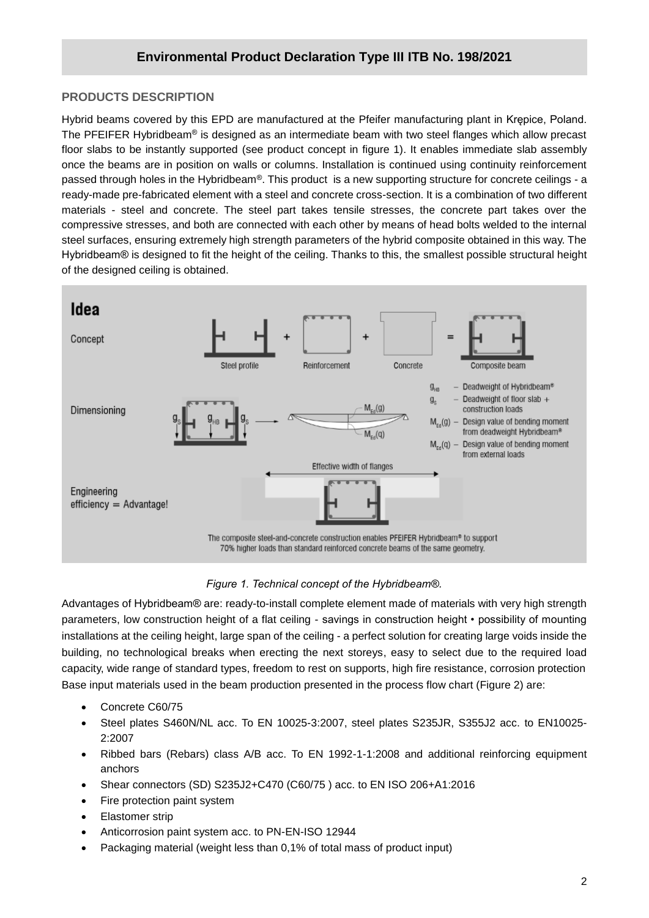### **PRODUCTS DESCRIPTION**

**/2020** The PFEIFER Hybridbeam® is designed as an intermediate beam with two steel flanges which allow precast Hybrid beams covered by this EPD are manufactured at the Pfeifer manufacturing plant in Krępice, Poland. floor slabs to be instantly supported (see product concept in figure 1). It enables immediate slab assembly once the beams are in position on walls or columns. Installation is continued using continuity reinforcement passed through holes in the Hybridbeam®. This product is a new supporting structure for concrete ceilings - a ready-made pre-fabricated element with a steel and concrete cross-section. It is a combination of two different materials - steel and concrete. The steel part takes tensile stresses, the concrete part takes over the compressive stresses, and both are connected with each other by means of head bolts welded to the internal steel surfaces, ensuring extremely high strength parameters of the hybrid composite obtained in this way. The Hybridbeam® is designed to fit the height of the ceiling. Thanks to this, the smallest possible structural height of the designed ceiling is obtained.



#### *Figure 1. Technical concept of the Hybridbeam®.*

Advantages of Hybridbeam® are: ready-to-install complete element made of materials with very high strength parameters, low construction height of a flat ceiling - savings in construction height • possibility of mounting installations at the ceiling height, large span of the ceiling - a perfect solution for creating large voids inside the building, no technological breaks when erecting the next storeys, easy to select due to the required load capacity, wide range of standard types, freedom to rest on supports, high fire resistance, corrosion protection Base input materials used in the beam production presented in the process flow chart (Figure 2) are:

- Concrete C60/75
- Steel plates S460N/NL acc. To EN 10025-3:2007, steel plates S235JR, S355J2 acc. to EN10025- 2:2007
- Ribbed bars (Rebars) class A/B acc. To EN 1992-1-1:2008 and additional reinforcing equipment anchors
- Shear connectors (SD) S235J2+C470 (C60/75 ) acc. to EN ISO 206+A1:2016
- Fire protection paint system
- Elastomer strip
- Anticorrosion paint system acc. to PN-EN-ISO 12944
- Packaging material (weight less than 0,1% of total mass of product input)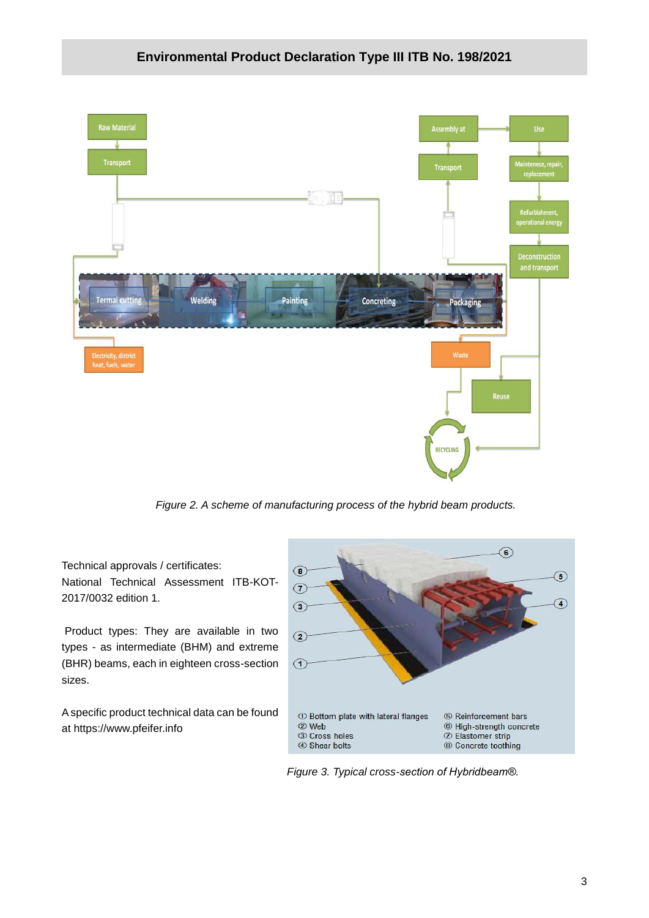

*Figure 2. A scheme of manufacturing process of the hybrid beam products.*

Technical approvals / certificates: National Technical Assessment ITB-KOT-2017/0032 edition 1.

Product types: They are available in two types - as intermediate (BHM) and extreme (BHR) beams, each in eighteen cross-section sizes.

A specific product technical data can be found at https://www.pfeifer.info



*Figure 3. Typical cross-section of Hybridbeam®.*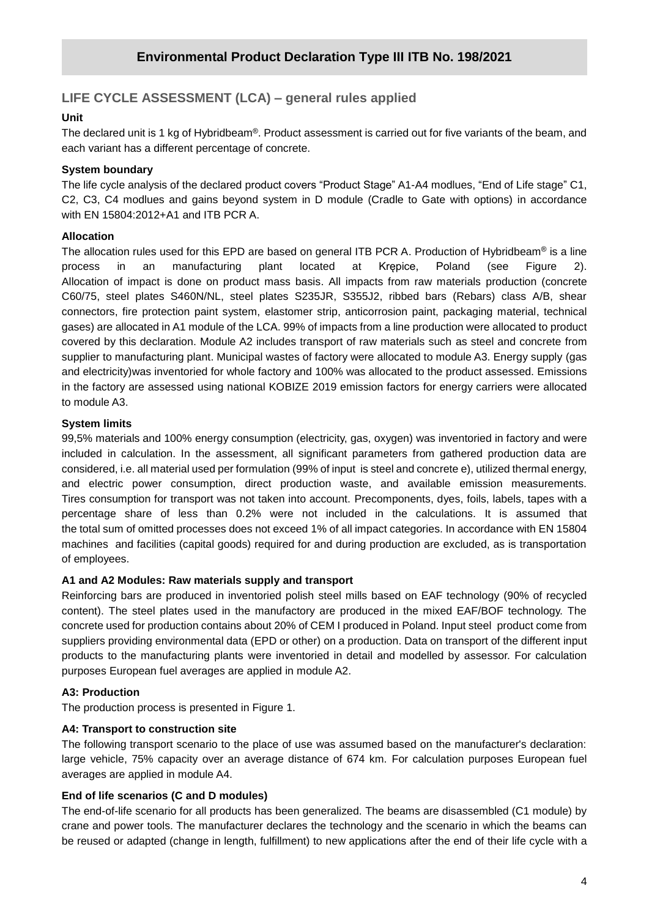## **LIFE CYCLE ASSESSMENT (LCA) – general rules applied**

#### **Unit**

**/2020** The declared unit is 1 kg of Hybridbeam®. Product assessment is carried out for five variants of the beam, and each variant has a different percentage of concrete.

#### **System boundary**

The life cycle analysis of the declared product covers "Product Stage" A1-A4 modlues, "End of Life stage" C1, C2, C3, C4 modlues and gains beyond system in D module (Cradle to Gate with options) in accordance with EN 15804:2012+A1 and ITB PCR A.

#### **Allocation**

The allocation rules used for this EPD are based on general ITB PCR A. Production of Hybridbeam® is a line process in an manufacturing plant located at Krępice, Poland (see Figure 2). Allocation of impact is done on product mass basis. All impacts from raw materials production (concrete C60/75, steel plates S460N/NL, steel plates S235JR, S355J2, ribbed bars (Rebars) class A/B, shear connectors, fire protection paint system, elastomer strip, anticorrosion paint, packaging material, technical gases) are allocated in A1 module of the LCA. 99% of impacts from a line production were allocated to product covered by this declaration. Module A2 includes transport of raw materials such as steel and concrete from supplier to manufacturing plant. Municipal wastes of factory were allocated to module A3. Energy supply (gas and electricity)was inventoried for whole factory and 100% was allocated to the product assessed. Emissions in the factory are assessed using national KOBIZE 2019 emission factors for energy carriers were allocated to module A3.

#### **System limits**

99,5% materials and 100% energy consumption (electricity, gas, oxygen) was inventoried in factory and were included in calculation. In the assessment, all significant parameters from gathered production data are considered, i.e. all material used per formulation (99% of input is steel and concrete e), utilized thermal energy, and electric power consumption, direct production waste, and available emission measurements. Tires consumption for transport was not taken into account. Precomponents, dyes, foils, labels, tapes with a percentage share of less than 0.2% were not included in the calculations. It is assumed that the total sum of omitted processes does not exceed 1% of all impact categories. In accordance with EN 15804 machines and facilities (capital goods) required for and during production are excluded, as is transportation of employees.

#### **A1 and A2 Modules: Raw materials supply and transport**

Reinforcing bars are produced in inventoried polish steel mills based on EAF technology (90% of recycled content). The steel plates used in the manufactory are produced in the mixed EAF/BOF technology. The concrete used for production contains about 20% of CEM I produced in Poland. Input steel product come from suppliers providing environmental data (EPD or other) on a production. Data on transport of the different input products to the manufacturing plants were inventoried in detail and modelled by assessor. For calculation purposes European fuel averages are applied in module A2.

#### **A3: Production**

The production process is presented in Figure 1.

#### **A4: Transport to construction site**

The following transport scenario to the place of use was assumed based on the manufacturer's declaration: large vehicle, 75% capacity over an average distance of 674 km. For calculation purposes European fuel averages are applied in module A4.

#### **End of life scenarios (C and D modules)**

The end-of-life scenario for all products has been generalized. The beams are disassembled (C1 module) by crane and power tools. The manufacturer declares the technology and the scenario in which the beams can be reused or adapted (change in length, fulfillment) to new applications after the end of their life cycle with a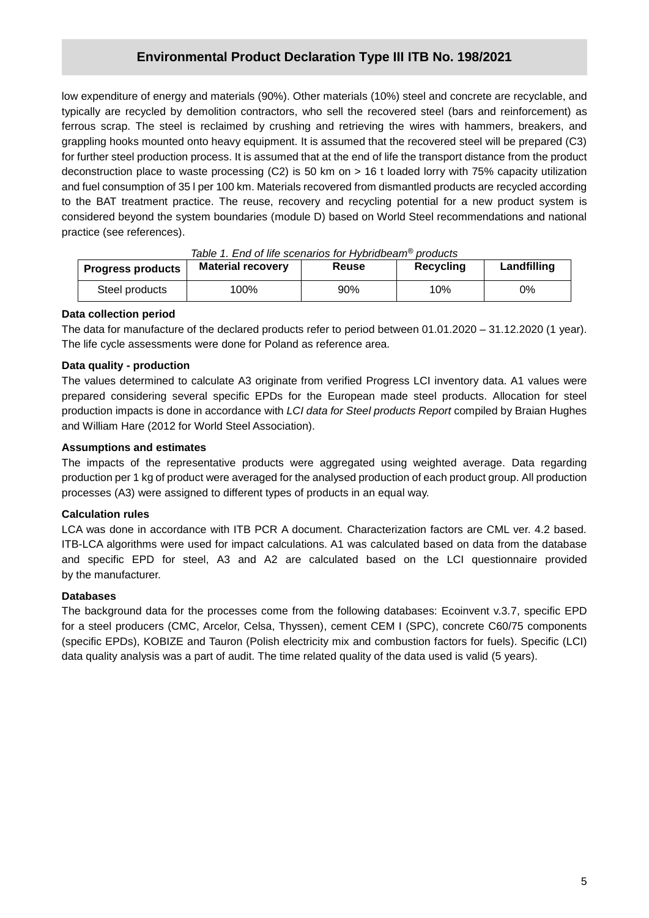ferrous scrap. The steel is reclaimed by crushing and retrieving the wires with hammers, breakers, and low expenditure of energy and materials (90%). Other materials (10%) steel and concrete are recyclable, and typically are recycled by demolition contractors, who sell the recovered steel (bars and reinforcement) as grappling hooks mounted onto heavy equipment. It is assumed that the recovered steel will be prepared (C3) for further steel production process. It is assumed that at the end of life the transport distance from the product deconstruction place to waste processing (C2) is 50 km on > 16 t loaded lorry with 75% capacity utilization and fuel consumption of 35 l per 100 km. Materials recovered from dismantled products are recycled according to the BAT treatment practice. The reuse, recovery and recycling potential for a new product system is considered beyond the system boundaries (module D) based on World Steel recommendations and national practice (see references).

| <b>Progress products</b> | <u>ROUGH. LING OF THE SUBHANDS TOF FIVIDING CAN PROGRAM</u><br><b>Material recovery</b> | Reuse | Recycling | Landfilling |  |
|--------------------------|-----------------------------------------------------------------------------------------|-------|-----------|-------------|--|
| Steel products           | 100%                                                                                    | 90%   | 10%       | 0%          |  |

*Table 1. End of life scenarios for Hybridbeam® products*

#### **Data collection period**

The data for manufacture of the declared products refer to period between 01.01.2020 – 31.12.2020 (1 year). The life cycle assessments were done for Poland as reference area.

#### **Data quality - production**

The values determined to calculate A3 originate from verified Progress LCI inventory data. A1 values were prepared considering several specific EPDs for the European made steel products. Allocation for steel production impacts is done in accordance with *LCI data for Steel products Report* compiled by Braian Hughes and William Hare (2012 for World Steel Association).

#### **Assumptions and estimates**

The impacts of the representative products were aggregated using weighted average. Data regarding production per 1 kg of product were averaged for the analysed production of each product group. All production processes (A3) were assigned to different types of products in an equal way.

#### **Calculation rules**

LCA was done in accordance with ITB PCR A document. Characterization factors are CML ver. 4.2 based. ITB-LCA algorithms were used for impact calculations. A1 was calculated based on data from the database and specific EPD for steel, A3 and A2 are calculated based on the LCI questionnaire provided by the manufacturer.

#### **Databases**

The background data for the processes come from the following databases: Ecoinvent v.3.7, specific EPD for a steel producers (CMC, Arcelor, Celsa, Thyssen), cement CEM I (SPC), concrete C60/75 components (specific EPDs), KOBIZE and Tauron (Polish electricity mix and combustion factors for fuels). Specific (LCI) data quality analysis was a part of audit. The time related quality of the data used is valid (5 years).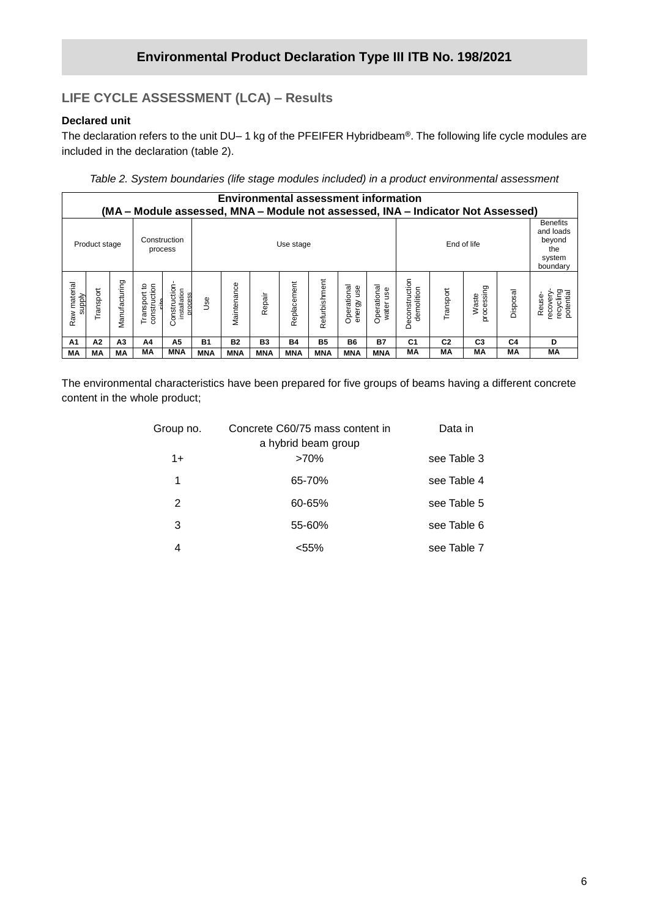# **LIFE CYCLE ASSESSMENT (LCA) – Results**

#### **Declared unit**

**/2020** The declaration refers to the unit DU– 1 kg of the PFEIFER Hybridbeam®. The following life cycle modules are included in the declaration (table 2).

*Table 2. System boundaries (life stage modules included) in a product environmental assessment*

|                        | <b>Environmental assessment information</b><br>(MA – Module assessed, MNA – Module not assessed, INA – Indicator Not Assessed) |                |                                                   |                                         |            |             |            |             |               |                           |                          |                              |                |                     |                |                                                                     |
|------------------------|--------------------------------------------------------------------------------------------------------------------------------|----------------|---------------------------------------------------|-----------------------------------------|------------|-------------|------------|-------------|---------------|---------------------------|--------------------------|------------------------------|----------------|---------------------|----------------|---------------------------------------------------------------------|
|                        | Product stage                                                                                                                  |                | Construction                                      | process                                 |            |             |            | Use stage   |               |                           |                          |                              |                | End of life         |                | <b>Benefits</b><br>and loads<br>beyond<br>the<br>system<br>boundary |
| Raw material<br>supply | Transport                                                                                                                      | Manufacturing  | construction<br>Transport to<br>م <del>ا</del> نہ | Construction<br>installation<br>process | <b>Jse</b> | Maintenance | Repair     | Replacement | Refurbishment | Operational<br>energy use | Operational<br>water use | Deconstruction<br>demolition | Transport      | processing<br>Waste | Disposal       | recycling<br>potential<br>recovery<br>Reuse-                        |
| A <sub>1</sub>         | A2                                                                                                                             | A <sub>3</sub> | A4                                                | А5                                      | <b>B1</b>  | <b>B2</b>   | <b>B3</b>  | <b>B4</b>   | <b>B5</b>     | <b>B6</b>                 | <b>B7</b>                | C <sub>1</sub>               | C <sub>2</sub> | C <sub>3</sub>      | C <sub>4</sub> | D                                                                   |
| МA                     | МA                                                                                                                             | MА             | МA                                                | <b>MNA</b>                              | <b>MNA</b> | <b>MNA</b>  | <b>MNA</b> | <b>MNA</b>  | <b>MNA</b>    | <b>MNA</b>                | <b>MNA</b>               | МA                           | МA             | МA                  | МA             | МA                                                                  |

The environmental characteristics have been prepared for five groups of beams having a different concrete content in the whole product;

| Group no. | Concrete C60/75 mass content in | Data in     |
|-----------|---------------------------------|-------------|
|           | a hybrid beam group             |             |
| $1+$      | $>70\%$                         | see Table 3 |
| 1         | 65-70%                          | see Table 4 |
| 2         | 60-65%                          | see Table 5 |
| 3         | 55-60%                          | see Table 6 |
| 4         | <55%                            | see Table 7 |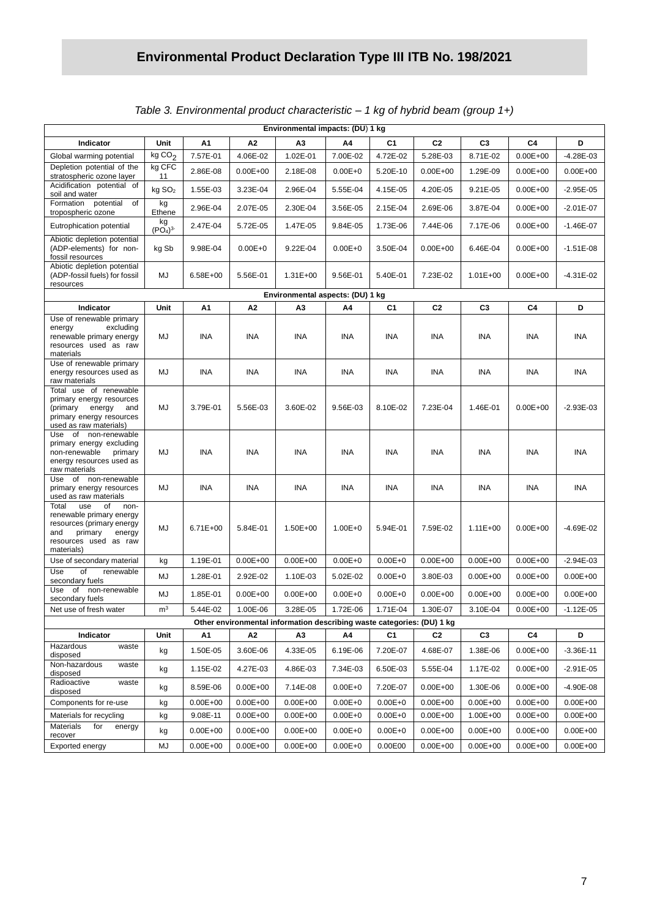|                                                                                                                                                        |                                       |              |              | Environmental impacts: (DU) 1 kg                                       |             |                |                |                |              |               |
|--------------------------------------------------------------------------------------------------------------------------------------------------------|---------------------------------------|--------------|--------------|------------------------------------------------------------------------|-------------|----------------|----------------|----------------|--------------|---------------|
| Indicator                                                                                                                                              | Unit                                  | A1           | A2           | A3                                                                     | A4          | C1             | C <sub>2</sub> | C <sub>3</sub> | C4           | D             |
| Global warming potential                                                                                                                               | kgCO <sub>2</sub>                     | 7.57E-01     | 4.06E-02     | 1.02E-01                                                               | 7.00E-02    | 4.72E-02       | 5.28E-03       | 8.71E-02       | $0.00E + 00$ | -4.28E-03     |
| Depletion potential of the<br>stratospheric ozone layer                                                                                                | kg CFC<br>11                          | 2.86E-08     | $0.00E + 00$ | 2.18E-08                                                               | $0.00E + 0$ | 5.20E-10       | $0.00E + 00$   | 1.29E-09       | $0.00E + 00$ | $0.00E + 00$  |
| Acidification potential of<br>soil and water                                                                                                           | kg SO <sub>2</sub>                    | 1.55E-03     | 3.23E-04     | 2.96E-04                                                               | 5.55E-04    | 4.15E-05       | 4.20E-05       | 9.21E-05       | $0.00E + 00$ | $-2.95E - 05$ |
| Formation potential<br>of<br>tropospheric ozone                                                                                                        | kg<br>Ethene                          | 2.96E-04     | 2.07E-05     | 2.30E-04                                                               | 3.56E-05    | 2.15E-04       | 2.69E-06       | 3.87E-04       | $0.00E + 00$ | $-2.01E-07$   |
| Eutrophication potential                                                                                                                               | kg<br>(PO <sub>4</sub> ) <sup>3</sup> | 2.47E-04     | 5.72E-05     | 1.47E-05                                                               | 9.84E-05    | 1.73E-06       | 7.44E-06       | 7.17E-06       | $0.00E + 00$ | $-1.46E - 07$ |
| Abiotic depletion potential<br>(ADP-elements) for non-<br>fossil resources                                                                             | kg Sb                                 | 9.98E-04     | $0.00E + 0$  | 9.22E-04                                                               | $0.00E + 0$ | 3.50E-04       | $0.00E + 00$   | 6.46E-04       | $0.00E + 00$ | $-1.51E-08$   |
| Abiotic depletion potential<br>(ADP-fossil fuels) for fossil<br>resources                                                                              | MJ                                    | 6.58E+00     | 5.56E-01     | $1.31E + 00$                                                           | 9.56E-01    | 5.40E-01       | 7.23E-02       | $1.01E + 00$   | $0.00E + 00$ | $-4.31E-02$   |
|                                                                                                                                                        |                                       |              |              | Environmental aspects: (DU) 1 kg                                       |             |                |                |                |              |               |
| Indicator                                                                                                                                              | Unit                                  | A1           | Α2           | A3                                                                     | A4          | C <sub>1</sub> | C <sub>2</sub> | C <sub>3</sub> | C4           | D             |
| Use of renewable primary<br>excluding<br>energy<br>renewable primary energy<br>resources used as raw<br>materials                                      | MJ                                    | <b>INA</b>   | <b>INA</b>   | <b>INA</b>                                                             | <b>INA</b>  | <b>INA</b>     | <b>INA</b>     | <b>INA</b>     | <b>INA</b>   | <b>INA</b>    |
| Use of renewable primary<br>energy resources used as<br>raw materials                                                                                  | MJ                                    | <b>INA</b>   | INA          | <b>INA</b>                                                             | <b>INA</b>  | INA.           | <b>INA</b>     | INA            | INA          | INA           |
| Total use of renewable<br>primary energy resources<br>(primary<br>energy<br>and<br>primary energy resources<br>used as raw materials)                  | MJ                                    | 3.79E-01     | 5.56E-03     | 3.60E-02                                                               | 9.56E-03    | 8.10E-02       | 7.23E-04       | 1.46E-01       | $0.00E + 00$ | $-2.93E-03$   |
| Use of non-renewable<br>primary energy excluding<br>non-renewable<br>primary<br>energy resources used as<br>raw materials                              | MJ                                    | <b>INA</b>   | <b>INA</b>   | <b>INA</b>                                                             | <b>INA</b>  | INA            | <b>INA</b>     | <b>INA</b>     | <b>INA</b>   | INA           |
| of non-renewable<br>Use<br>primary energy resources<br>used as raw materials                                                                           | MJ                                    | <b>INA</b>   | INA          | <b>INA</b>                                                             | <b>INA</b>  | INA.           | <b>INA</b>     | INA            | INA          | <b>INA</b>    |
| of<br>Total<br>use<br>non-<br>renewable primary energy<br>resources (primary energy<br>and<br>primary<br>energy<br>resources used as raw<br>materials) | MJ                                    | $6.71E + 00$ | 5.84E-01     | 1.50E+00                                                               | $1.00E + 0$ | 5.94E-01       | 7.59E-02       | $1.11E + 00$   | $0.00E + 00$ | $-4.69E - 02$ |
| Use of secondary material                                                                                                                              | kg                                    | 1.19E-01     | $0.00E + 00$ | $0.00E + 00$                                                           | $0.00E + 0$ | $0.00E + 0$    | $0.00E + 00$   | $0.00E + 00$   | $0.00E + 00$ | $-2.94E-03$   |
| Use<br>of<br>renewable<br>secondary fuels                                                                                                              | MJ                                    | 1.28E-01     | 2.92E-02     | 1.10E-03                                                               | 5.02E-02    | $0.00E + 0$    | 3.80E-03       | $0.00E + 00$   | $0.00E + 00$ | $0.00E + 00$  |
| Use<br>of<br>non-renewable<br>secondary fuels                                                                                                          | MJ                                    | 1.85E-01     | $0.00E + 00$ | $0.00E + 00$                                                           | $0.00E + 0$ | $0.00E + 0$    | $0.00E + 00$   | $0.00E + 00$   | $0.00E + 00$ | $0.00E + 00$  |
| Net use of fresh water                                                                                                                                 | m <sup>3</sup>                        | 5.44E-02     | 1.00E-06     | 3.28E-05                                                               | 1.72E-06    | 1.71E-04       | 1.30E-07       | 3.10E-04       | $0.00E + 00$ | $-1.12E - 05$ |
|                                                                                                                                                        |                                       |              |              | Other environmental information describing waste categories: (DU) 1 kg |             |                |                |                |              |               |
| Indicator                                                                                                                                              | Unit                                  | А1           | А2           | А3                                                                     | Α4          | C <sub>1</sub> | C <sub>2</sub> | C <sub>3</sub> | C4           | D             |
| Hazardous<br>waste<br>disposed                                                                                                                         | kg                                    | 1.50E-05     | 3.60E-06     | 4.33E-05                                                               | 6.19E-06    | 7.20E-07       | 4.68E-07       | 1.38E-06       | $0.00E + 00$ | $-3.36E - 11$ |
| Non-hazardous<br>waste<br>disposed                                                                                                                     | kg                                    | 1.15E-02     | 4.27E-03     | 4.86E-03                                                               | 7.34E-03    | 6.50E-03       | 5.55E-04       | 1.17E-02       | $0.00E + 00$ | $-2.91E-05$   |
| Radioactive<br>waste<br>disposed                                                                                                                       | kg                                    | 8.59E-06     | $0.00E + 00$ | 7.14E-08                                                               | $0.00E + 0$ | 7.20E-07       | $0.00E + 00$   | 1.30E-06       | $0.00E + 00$ | $-4.90E-08$   |
| Components for re-use                                                                                                                                  | kg                                    | $0.00E + 00$ | $0.00E + 00$ | $0.00E + 00$                                                           | $0.00E + 0$ | $0.00E + 0$    | $0.00E + 00$   | $0.00E + 00$   | $0.00E + 00$ | $0.00E + 00$  |
| Materials for recycling                                                                                                                                | kg                                    | 9.08E-11     | $0.00E + 00$ | $0.00E + 00$                                                           | $0.00E + 0$ | $0.00E + 0$    | $0.00E + 00$   | 1.00E+00       | $0.00E + 00$ | $0.00E + 00$  |
| Materials<br>for<br>energy<br>recover                                                                                                                  | kg                                    | $0.00E + 00$ | $0.00E + 00$ | $0.00E + 00$                                                           | $0.00E + 0$ | $0.00E + 0$    | $0.00E + 00$   | $0.00E + 00$   | $0.00E + 00$ | $0.00E + 00$  |
| Exported energy                                                                                                                                        | MJ                                    | $0.00E + 00$ | $0.00E + 00$ | $0.00E + 00$                                                           | $0.00E + 0$ | 0.00E00        | $0.00E + 00$   | $0.00E + 00$   | $0.00E + 00$ | $0.00E + 00$  |

## *Table 3. Environmental product characteristic – 1 kg of hybrid beam (group 1+)*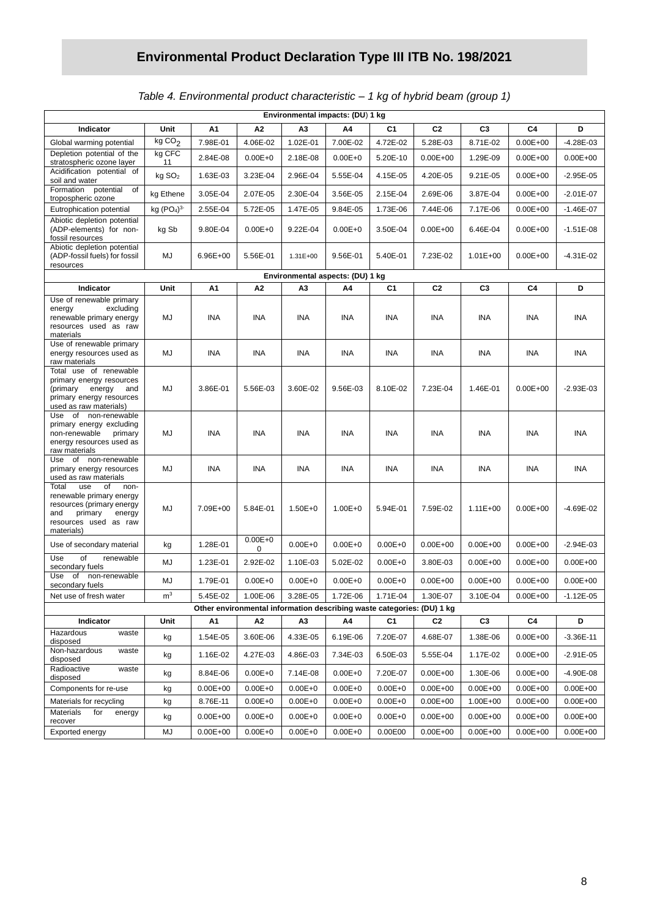## *Table 4. Environmental product characteristic – 1 kg of hybrid beam (group 1)*

|                                                                                                                                                        |                    |                          | Environmental impacts: (DU) 1 kg |                                  |                            |                                                                        |                              |                          |              |               |
|--------------------------------------------------------------------------------------------------------------------------------------------------------|--------------------|--------------------------|----------------------------------|----------------------------------|----------------------------|------------------------------------------------------------------------|------------------------------|--------------------------|--------------|---------------|
| Indicator                                                                                                                                              | Unit               | Α1                       | A2                               | A3                               | A4                         | C1                                                                     | C <sub>2</sub>               | C <sub>3</sub>           | C4           | D             |
| Global warming potential                                                                                                                               | kgCO <sub>2</sub>  | 7.98E-01                 | 4.06E-02                         | 1.02E-01                         | 7.00E-02                   | 4.72E-02                                                               | 5.28E-03                     | 8.71E-02                 | $0.00E + 00$ | $-4.28E - 03$ |
| Depletion potential of the<br>stratospheric ozone layer                                                                                                | kg CFC<br>11       | 2.84E-08                 | $0.00E + 0$                      | 2.18E-08                         | $0.00E + 0$                | 5.20E-10                                                               | $0.00E + 00$                 | 1.29E-09                 | $0.00E + 00$ | $0.00E + 00$  |
| Acidification potential of<br>soil and water                                                                                                           | kg SO <sub>2</sub> | 1.63E-03                 | 3.23E-04                         | 2.96E-04                         | 5.55E-04                   | 4.15E-05                                                               | 4.20E-05                     | 9.21E-05                 | $0.00E + 00$ | $-2.95E - 05$ |
| Formation potential<br>of<br>tropospheric ozone                                                                                                        | kg Ethene          | 3.05E-04                 | 2.07E-05                         | 2.30E-04                         | 3.56E-05                   | 2.15E-04                                                               | 2.69E-06                     | 3.87E-04                 | $0.00E + 00$ | $-2.01E-07$   |
| Eutrophication potential                                                                                                                               | kg $(PO4)3$        | 2.55E-04                 | 5.72E-05                         | 1.47E-05                         | 9.84E-05                   | 1.73E-06                                                               | 7.44E-06                     | 7.17E-06                 | $0.00E + 00$ | $-1.46E - 07$ |
| Abiotic depletion potential<br>(ADP-elements) for non-<br>fossil resources                                                                             | kg Sb              | 9.80E-04                 | $0.00E + 0$                      | 9.22E-04                         | $0.00E + 0$                | 3.50E-04                                                               | $0.00E + 00$                 | 6.46E-04                 | $0.00E + 00$ | $-1.51E-08$   |
| Abiotic depletion potential<br>(ADP-fossil fuels) for fossil<br>resources                                                                              | MJ                 | 6.96E+00                 | 5.56E-01                         | $1.31E + 00$                     | 9.56E-01                   | 5.40E-01                                                               | 7.23E-02                     | $1.01E + 00$             | $0.00E + 00$ | $-4.31E-02$   |
|                                                                                                                                                        |                    |                          |                                  | Environmental aspects: (DU) 1 kg |                            |                                                                        |                              |                          |              |               |
| Indicator                                                                                                                                              | Unit               | А1                       | A2                               | АЗ                               | A4                         | C1                                                                     | C <sub>2</sub>               | C <sub>3</sub>           | C4           | D             |
| Use of renewable primary<br>excluding<br>energy<br>renewable primary energy<br>resources used as raw<br>materials                                      | MJ                 | INA                      | <b>INA</b>                       | <b>INA</b>                       | <b>INA</b>                 | <b>INA</b>                                                             | INA                          | INA                      | <b>INA</b>   | <b>INA</b>    |
| Use of renewable primary<br>energy resources used as<br>raw materials                                                                                  | MJ                 | INA                      | <b>INA</b>                       | INA                              | INA                        | INA                                                                    | INA                          | INA                      | INA          | INA           |
| Total use of renewable<br>primary energy resources<br>(primary<br>energy<br>and<br>primary energy resources<br>used as raw materials)                  | MJ                 | 3.86E-01                 | 5.56E-03                         | 3.60E-02                         | 9.56E-03                   | 8.10E-02                                                               | 7.23E-04                     | 1.46E-01                 | $0.00E + 00$ | $-2.93E-03$   |
| Use of non-renewable<br>primary energy excluding<br>non-renewable<br>primary<br>energy resources used as<br>raw materials                              | MJ                 | INA                      | INA                              | INA                              | <b>INA</b>                 | INA                                                                    | INA                          | INA                      | INA          | INA           |
| Use of non-renewable<br>primary energy resources<br>used as raw materials                                                                              | MJ                 | <b>INA</b>               | <b>INA</b>                       | INA                              | INA                        | INA                                                                    | INA                          | INA                      | INA          | INA           |
| use<br>Total<br>of<br>non-<br>renewable primary energy<br>resources (primary energy<br>and<br>primary<br>energy<br>resources used as raw<br>materials) | MJ                 | 7.09E+00                 | 5.84E-01                         | $1.50E + 0$                      | $1.00E + 0$                | 5.94E-01                                                               | 7.59E-02                     | $1.11E + 00$             | $0.00E + 00$ | $-4.69E - 02$ |
| Use of secondary material                                                                                                                              | kg                 | 1.28E-01                 | $0.00E + 0$<br>0                 | $0.00E + 0$                      | $0.00E + 0$                | $0.00E + 0$                                                            | $0.00E + 00$                 | $0.00E + 00$             | $0.00E + 00$ | $-2.94E-03$   |
| Use<br>of<br>renewable<br>secondary fuels                                                                                                              | MJ                 | 1.23E-01                 | 2.92E-02                         | 1.10E-03                         | 5.02E-02                   | $0.00E + 0$                                                            | 3.80E-03                     | $0.00E + 00$             | $0.00E + 00$ | $0.00E + 00$  |
| Use<br>of non-renewable<br>secondary fuels                                                                                                             | MJ                 | 1.79E-01                 | $0.00E + 0$                      | $0.00E + 0$                      | $0.00E + 0$                | $0.00E + 0$                                                            | $0.00E + 00$                 | $0.00E + 00$             | $0.00E + 00$ | $0.00E + 00$  |
| Net use of fresh water                                                                                                                                 | m <sup>3</sup>     | 5.45E-02                 | 1.00E-06                         | 3.28E-05                         | 1.72E-06                   | 1.71E-04                                                               | 1.30E-07                     | 3.10E-04                 | $0.00E + 00$ | $-1.12E - 05$ |
|                                                                                                                                                        |                    |                          |                                  |                                  |                            | Other environmental information describing waste categories: (DU) 1 kg |                              |                          |              |               |
| Indicator<br>Hazardous                                                                                                                                 | Unit               | А1                       | Α2                               | А3                               | Α4                         | C1                                                                     | C <sub>2</sub>               | C <sub>3</sub>           | C4           | D             |
| waste<br>disposed                                                                                                                                      | kg                 | 1.54E-05                 | 3.60E-06                         | 4.33E-05                         | 6.19E-06                   | 7.20E-07                                                               | 4.68E-07                     | 1.38E-06                 | $0.00E + 00$ | $-3.36E-11$   |
| Non-hazardous<br>waste<br>disposed                                                                                                                     | kg                 | 1.16E-02                 | 4.27E-03                         | 4.86E-03                         | 7.34E-03                   | 6.50E-03                                                               | 5.55E-04                     | 1.17E-02                 | $0.00E + 00$ | $-2.91E-05$   |
| Radioactive<br>waste<br>disposed                                                                                                                       | kg                 | 8.84E-06                 | $0.00E + 0$                      | 7.14E-08                         | $0.00E + 0$                | 7.20E-07                                                               | $0.00E + 00$                 | 1.30E-06                 | $0.00E + 00$ | $-4.90E-08$   |
| Components for re-use                                                                                                                                  | kg                 | $0.00E + 00$             | $0.00E + 0$                      | $0.00E + 0$                      | $0.00E + 0$                | $0.00E + 0$                                                            | $0.00E + 00$                 | $0.00E + 00$             | $0.00E + 00$ | $0.00E + 00$  |
| Materials for recycling<br>Materials<br>for<br>energy                                                                                                  | kg                 | 8.76E-11<br>$0.00E + 00$ | $0.00E + 0$                      | $0.00E + 0$                      | $0.00E + 0$<br>$0.00E + 0$ | $0.00E + 0$<br>$0.00E + 0$                                             | $0.00E + 00$<br>$0.00E + 00$ | 1.00E+00<br>$0.00E + 00$ | $0.00E + 00$ | $0.00E + 00$  |
| recover                                                                                                                                                | kg                 |                          | $0.00E + 0$                      | $0.00E + 0$                      |                            |                                                                        |                              |                          | $0.00E + 00$ | $0.00E + 00$  |
| Exported energy                                                                                                                                        | MJ                 | $0.00E + 00$             | $0.00E + 0$                      | $0.00E + 0$                      | $0.00E + 0$                | 0.00E00                                                                | $0.00E + 00$                 | $0.00E + 00$             | $0.00E + 00$ | $0.00E + 00$  |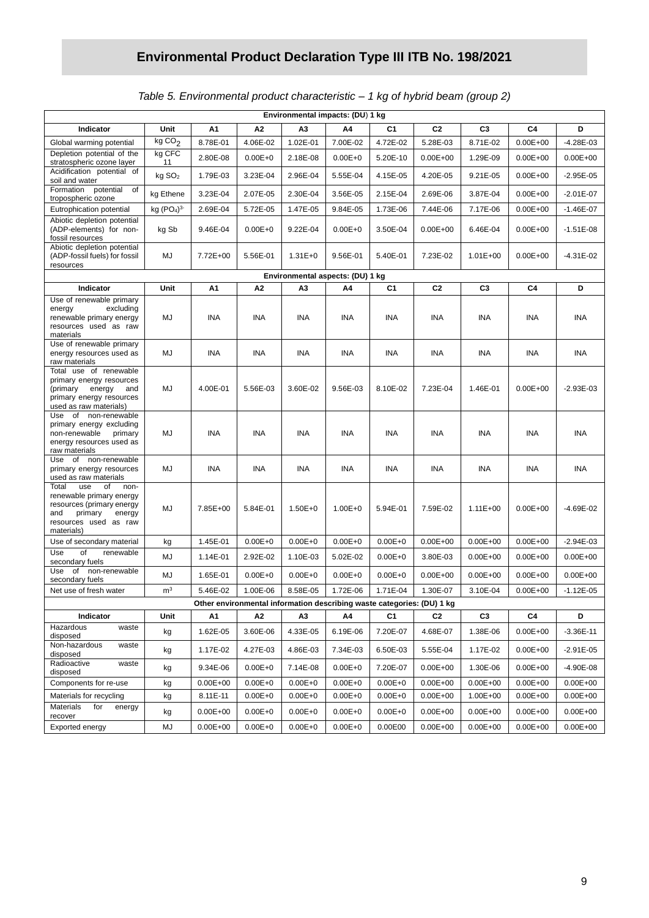## *Table 5. Environmental product characteristic – 1 kg of hybrid beam (group 2)*

| Environmental impacts: (DU) 1 kg                                                                                                                       |                                    |                          |                            |                                  |                            |                                                                        |                              |                          |                              |                              |
|--------------------------------------------------------------------------------------------------------------------------------------------------------|------------------------------------|--------------------------|----------------------------|----------------------------------|----------------------------|------------------------------------------------------------------------|------------------------------|--------------------------|------------------------------|------------------------------|
| Indicator                                                                                                                                              | Unit                               | А1                       | A2                         | АЗ                               | A4                         | C1                                                                     | C <sub>2</sub>               | C <sub>3</sub>           | C4                           | D                            |
| Global warming potential                                                                                                                               | kgCO <sub>2</sub>                  | 8.78E-01                 | 4.06E-02                   | 1.02E-01                         | 7.00E-02                   | 4.72E-02                                                               | 5.28E-03                     | 8.71E-02                 | $0.00E + 00$                 | $-4.28E - 03$                |
| Depletion potential of the<br>stratospheric ozone layer                                                                                                | kg CFC<br>11                       | 2.80E-08                 | $0.00E + 0$                | 2.18E-08                         | $0.00E + 0$                | 5.20E-10                                                               | $0.00E + 00$                 | 1.29E-09                 | $0.00E + 00$                 | $0.00E + 00$                 |
| Acidification potential of<br>soil and water                                                                                                           | kg SO <sub>2</sub>                 | 1.79E-03                 | 3.23E-04                   | 2.96E-04                         | 5.55E-04                   | 4.15E-05                                                               | 4.20E-05                     | 9.21E-05                 | $0.00E + 00$                 | $-2.95E-05$                  |
| Formation potential<br>of<br>tropospheric ozone                                                                                                        | kg Ethene                          | 3.23E-04                 | 2.07E-05                   | 2.30E-04                         | 3.56E-05                   | 2.15E-04                                                               | 2.69E-06                     | 3.87E-04                 | $0.00E + 00$                 | $-2.01E-07$                  |
| Eutrophication potential                                                                                                                               | kg (PO <sub>4</sub> ) <sup>3</sup> | 2.69E-04                 | 5.72E-05                   | 1.47E-05                         | 9.84E-05                   | 1.73E-06                                                               | 7.44E-06                     | 7.17E-06                 | $0.00E + 00$                 | $-1.46E - 07$                |
| Abiotic depletion potential<br>(ADP-elements) for non-<br>fossil resources                                                                             | kg Sb                              | 9.46E-04                 | $0.00E + 0$                | 9.22E-04                         | $0.00E + 0$                | 3.50E-04                                                               | $0.00E + 00$                 | 6.46E-04                 | $0.00E + 00$                 | $-1.51E-08$                  |
| Abiotic depletion potential<br>(ADP-fossil fuels) for fossil<br>resources                                                                              | MJ                                 | 7.72E+00                 | 5.56E-01                   | $1.31E + 0$                      | 9.56E-01                   | 5.40E-01                                                               | 7.23E-02                     | $1.01E + 00$             | $0.00E + 00$                 | $-4.31E-02$                  |
|                                                                                                                                                        |                                    |                          |                            | Environmental aspects: (DU) 1 kg |                            |                                                                        |                              |                          |                              |                              |
| Indicator                                                                                                                                              | Unit                               | А1                       | A2                         | ΑЗ                               | Α4                         | C1                                                                     | C <sub>2</sub>               | C3                       | C4                           | D                            |
| Use of renewable primary<br>excluding<br>energy<br>renewable primary energy<br>resources used as raw<br>materials                                      | MJ                                 | INA                      | INA                        | INA                              | <b>INA</b>                 | <b>INA</b>                                                             | INA                          | INA                      | <b>INA</b>                   | <b>INA</b>                   |
| Use of renewable primary<br>energy resources used as<br>raw materials                                                                                  | MJ                                 | INA                      | INA                        | INA                              | INA                        | INA                                                                    | <b>INA</b>                   | INA                      | INA                          | INA                          |
| Total use of renewable<br>primary energy resources<br>(primary<br>energy<br>and<br>primary energy resources<br>used as raw materials)                  | MJ                                 | 4.00E-01                 | 5.56E-03                   | 3.60E-02                         | 9.56E-03                   | 8.10E-02                                                               | 7.23E-04                     | 1.46E-01                 | $0.00E + 00$                 | $-2.93E-03$                  |
| Use of non-renewable<br>primary energy excluding<br>non-renewable<br>primary<br>energy resources used as<br>raw materials                              | MJ                                 | INA                      | INA                        | INA                              | INA                        | INA                                                                    | <b>INA</b>                   | INA                      | <b>INA</b>                   | INA                          |
| Use of non-renewable<br>primary energy resources<br>used as raw materials                                                                              | MJ                                 | INA                      | INA                        | INA                              | INA                        | INA                                                                    | INA                          | INA                      | INA                          | <b>INA</b>                   |
| use<br>Total<br>of<br>non-<br>renewable primary energy<br>resources (primary energy<br>and<br>primary<br>energy<br>resources used as raw<br>materials) | MJ                                 | 7.85E+00                 | 5.84E-01                   | $1.50E + 0$                      | $1.00E + 0$                | 5.94E-01                                                               | 7.59E-02                     | $1.11E + 00$             | $0.00E + 00$                 | $-4.69E - 02$                |
| Use of secondary material                                                                                                                              | kg                                 | 1.45E-01                 | $0.00E + 0$                | $0.00E + 0$                      | $0.00E + 0$                | $0.00E + 0$                                                            | $0.00E + 00$                 | $0.00E + 00$             | $0.00E + 00$                 | $-2.94E-03$                  |
| Use<br>of<br>renewable<br>secondary fuels                                                                                                              | MJ                                 | 1.14E-01                 | 2.92E-02                   | 1.10E-03                         | 5.02E-02                   | $0.00E + 0$                                                            | 3.80E-03                     | $0.00E + 00$             | $0.00E + 00$                 | $0.00E + 00$                 |
| of non-renewable<br>Use<br>secondary fuels                                                                                                             | MJ                                 | 1.65E-01                 | $0.00E + 0$                | $0.00E + 0$                      | $0.00E + 0$                | $0.00E + 0$                                                            | $0.00E + 00$                 | $0.00E + 00$             | $0.00E + 00$                 | $0.00E + 00$                 |
| Net use of fresh water                                                                                                                                 | m <sup>3</sup>                     | 5.46E-02                 | 1.00E-06                   | 8.58E-05                         | 1.72E-06                   | 1.71E-04                                                               | 1.30E-07                     | 3.10E-04                 | $0.00E + 00$                 | $-1.12E - 05$                |
|                                                                                                                                                        |                                    |                          |                            |                                  |                            | Other environmental information describing waste categories: (DU) 1 kg |                              |                          |                              |                              |
| Indicator<br>Hazardous<br>waste                                                                                                                        | Unit                               | А1                       | A <sub>2</sub>             | A3                               | Α4                         | C1                                                                     | C <sub>2</sub>               | C <sub>3</sub>           | C4                           | D                            |
| disposed<br>Non-hazardous<br>waste                                                                                                                     | kg                                 | 1.62E-05                 | 3.60E-06                   | 4.33E-05                         | 6.19E-06                   | 7.20E-07                                                               | 4.68E-07                     | 1.38E-06                 | $0.00E + 00$                 | $-3.36E - 11$                |
| disposed<br>Radioactive                                                                                                                                | kg                                 | 1.17E-02                 | 4.27E-03                   | 4.86E-03                         | 7.34E-03                   | 6.50E-03                                                               | 5.55E-04                     | 1.17E-02                 | $0.00E + 00$                 | $-2.91E-05$                  |
| waste<br>disposed                                                                                                                                      | kg                                 | 9.34E-06                 | $0.00E + 0$                | 7.14E-08                         | $0.00E + 0$                | 7.20E-07                                                               | $0.00E + 00$                 | 1.30E-06                 | $0.00E + 00$                 | -4.90E-08                    |
| Components for re-use                                                                                                                                  | kg                                 | $0.00E + 00$             | $0.00E + 0$                | $0.00E + 0$                      | $0.00E + 0$                | $0.00E + 0$                                                            | $0.00E + 00$                 | $0.00E + 00$             | $0.00E + 00$                 | $0.00E + 00$                 |
| Materials for recycling<br><b>Materials</b><br>for<br>energy                                                                                           | kg<br>kg                           | 8.11E-11<br>$0.00E + 00$ | $0.00E + 0$<br>$0.00E + 0$ | $0.00E + 0$<br>$0.00E + 0$       | $0.00E + 0$<br>$0.00E + 0$ | $0.00E + 0$<br>$0.00E + 0$                                             | $0.00E + 00$<br>$0.00E + 00$ | 1.00E+00<br>$0.00E + 00$ | $0.00E + 00$<br>$0.00E + 00$ | $0.00E + 00$<br>$0.00E + 00$ |
| recover                                                                                                                                                |                                    |                          |                            |                                  |                            |                                                                        |                              |                          |                              |                              |
| Exported energy                                                                                                                                        | MJ                                 | $0.00E + 00$             | $0.00E + 0$                | $0.00E + 0$                      | $0.00E + 0$                | 0.00E00                                                                | $0.00E + 00$                 | $0.00E + 00$             | $0.00E + 00$                 | $0.00E + 00$                 |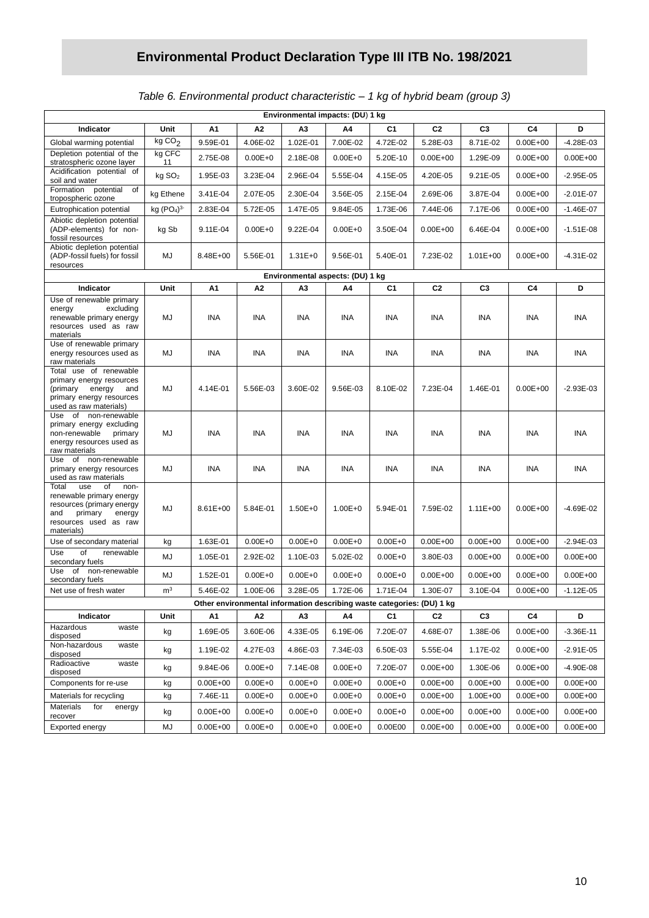## *Table 6. Environmental product characteristic – 1 kg of hybrid beam (group 3)*

| Environmental impacts: (DU) 1 kg                                                                                                                       |                                    |                          |                            |                            |                                  |                                                                        |                              |                          |                              |                              |
|--------------------------------------------------------------------------------------------------------------------------------------------------------|------------------------------------|--------------------------|----------------------------|----------------------------|----------------------------------|------------------------------------------------------------------------|------------------------------|--------------------------|------------------------------|------------------------------|
| Indicator                                                                                                                                              | Unit                               | Α1                       | A2                         | АЗ                         | Α4                               | C <sub>1</sub>                                                         | C <sub>2</sub>               | C <sub>3</sub>           | C4                           | D                            |
| Global warming potential                                                                                                                               | kgCO <sub>2</sub>                  | 9.59E-01                 | 4.06E-02                   | 1.02E-01                   | 7.00E-02                         | 4.72E-02                                                               | 5.28E-03                     | 8.71E-02                 | $0.00E + 00$                 | $-4.28E - 03$                |
| Depletion potential of the<br>stratospheric ozone layer                                                                                                | kg CFC<br>11                       | 2.75E-08                 | $0.00E + 0$                | 2.18E-08                   | $0.00E + 0$                      | 5.20E-10                                                               | $0.00E + 00$                 | 1.29E-09                 | $0.00E + 00$                 | $0.00E + 00$                 |
| Acidification potential of<br>soil and water                                                                                                           | kg SO <sub>2</sub>                 | 1.95E-03                 | 3.23E-04                   | 2.96E-04                   | 5.55E-04                         | 4.15E-05                                                               | 4.20E-05                     | 9.21E-05                 | $0.00E + 00$                 | $-2.95E-05$                  |
| Formation potential<br>0f<br>tropospheric ozone                                                                                                        | kg Ethene                          | 3.41E-04                 | 2.07E-05                   | 2.30E-04                   | 3.56E-05                         | 2.15E-04                                                               | 2.69E-06                     | 3.87E-04                 | $0.00E + 00$                 | $-2.01E-07$                  |
| Eutrophication potential                                                                                                                               | kg (PO <sub>4</sub> ) <sup>3</sup> | 2.83E-04                 | 5.72E-05                   | 1.47E-05                   | 9.84E-05                         | 1.73E-06                                                               | 7.44E-06                     | 7.17E-06                 | $0.00E + 00$                 | $-1.46E - 07$                |
| Abiotic depletion potential<br>(ADP-elements) for non-<br>fossil resources                                                                             | kg Sb                              | 9.11E-04                 | $0.00E + 0$                | 9.22E-04                   | $0.00E + 0$                      | 3.50E-04                                                               | $0.00E + 00$                 | 6.46E-04                 | $0.00E + 00$                 | $-1.51E-08$                  |
| Abiotic depletion potential<br>(ADP-fossil fuels) for fossil<br>resources                                                                              | MJ                                 | 8.48E+00                 | 5.56E-01                   | $1.31E + 0$                | 9.56E-01                         | 5.40E-01                                                               | 7.23E-02                     | $1.01E + 00$             | $0.00E + 00$                 | $-4.31E - 02$                |
|                                                                                                                                                        |                                    |                          |                            |                            | Environmental aspects: (DU) 1 kg |                                                                        |                              |                          |                              |                              |
| Indicator                                                                                                                                              | Unit                               | А1                       | A2                         | A3                         | A4                               | C1                                                                     | C <sub>2</sub>               | C <sub>3</sub>           | C4                           | D                            |
| Use of renewable primary<br>excluding<br>energy<br>renewable primary energy<br>resources used as raw<br>materials                                      | MJ                                 | INA                      | INA                        | INA                        | INA                              | INA                                                                    | <b>INA</b>                   | ina                      | INA                          | INA                          |
| Use of renewable primary<br>energy resources used as<br>raw materials                                                                                  | MJ                                 | <b>INA</b>               | <b>INA</b>                 | <b>INA</b>                 | <b>INA</b>                       | INA                                                                    | <b>INA</b>                   | INA                      | INA                          | INA                          |
| Total use of renewable<br>primary energy resources<br>(primary<br>energy<br>and<br>primary energy resources<br>used as raw materials)                  | MJ                                 | 4.14E-01                 | 5.56E-03                   | 3.60E-02                   | 9.56E-03                         | 8.10E-02                                                               | 7.23E-04                     | 1.46E-01                 | $0.00E + 00$                 | $-2.93E-03$                  |
| Use of non-renewable<br>primary energy excluding<br>non-renewable<br>primary<br>energy resources used as<br>raw materials                              | MJ                                 | <b>INA</b>               | <b>INA</b>                 | <b>INA</b>                 | <b>INA</b>                       | <b>INA</b>                                                             | <b>INA</b>                   | INA                      | <b>INA</b>                   | INA                          |
| Use of non-renewable<br>primary energy resources<br>used as raw materials                                                                              | MJ                                 | INA                      | <b>INA</b>                 | INA                        | <b>INA</b>                       | INA                                                                    | INA                          | INA                      | INA                          | <b>INA</b>                   |
| Total<br>use<br>оf<br>non-<br>renewable primary energy<br>resources (primary energy<br>and<br>primary<br>energy<br>resources used as raw<br>materials) | MJ                                 | 8.61E+00                 | 5.84E-01                   | $1.50E + 0$                | $1.00E + 0$                      | 5.94E-01                                                               | 7.59E-02                     | $1.11E + 00$             | $0.00E + 00$                 | $-4.69E-02$                  |
| Use of secondary material                                                                                                                              | kg                                 | 1.63E-01                 | $0.00E + 0$                | $0.00E + 0$                | $0.00E + 0$                      | $0.00E + 0$                                                            | $0.00E + 00$                 | $0.00E + 00$             | $0.00E + 00$                 | $-2.94E-03$                  |
| of<br>Use<br>renewable<br>secondary fuels                                                                                                              | MJ                                 | 1.05E-01                 | 2.92E-02                   | 1.10E-03                   | 5.02E-02                         | $0.00E + 0$                                                            | 3.80E-03                     | $0.00E + 00$             | $0.00E + 00$                 | $0.00E + 00$                 |
| Use<br>of non-renewable<br>secondary fuels                                                                                                             | MJ                                 | 1.52E-01                 | $0.00E + 0$                | $0.00E + 0$                | $0.00E + 0$                      | $0.00E + 0$                                                            | $0.00E + 00$                 | $0.00E + 00$             | $0.00E + 00$                 | $0.00E + 00$                 |
| Net use of fresh water                                                                                                                                 | m <sup>3</sup>                     | 5.46E-02                 | 1.00E-06                   | 3.28E-05                   | 1.72E-06                         | 1.71E-04                                                               | 1.30E-07                     | 3.10E-04                 | $0.00E + 00$                 | $-1.12E - 05$                |
|                                                                                                                                                        |                                    |                          |                            |                            |                                  | Other environmental information describing waste categories: (DU) 1 kg |                              |                          |                              |                              |
| Indicator<br>Hazardous<br>waste                                                                                                                        | Unit                               | А1                       | A <sub>2</sub>             | A3                         | Α4                               | C1                                                                     | C <sub>2</sub>               | C <sub>3</sub>           | C4                           | D                            |
| disposed<br>Non-hazardous<br>waste                                                                                                                     | kg                                 | 1.69E-05                 | 3.60E-06                   | 4.33E-05                   | 6.19E-06                         | 7.20E-07                                                               | 4.68E-07                     | 1.38E-06                 | $0.00E + 00$                 | $-3.36E-11$                  |
| disposed<br>Radioactive<br>waste                                                                                                                       | kg                                 | 1.19E-02                 | 4.27E-03                   | 4.86E-03                   | 7.34E-03                         | 6.50E-03                                                               | 5.55E-04                     | 1.17E-02                 | $0.00E + 00$                 | $-2.91E-05$                  |
| disposed                                                                                                                                               | kg                                 | 9.84E-06                 | $0.00E + 0$                | 7.14E-08                   | $0.00E + 0$                      | 7.20E-07                                                               | $0.00E + 00$                 | 1.30E-06                 | $0.00E + 00$                 | $-4.90E-08$                  |
| Components for re-use                                                                                                                                  | kg                                 | $0.00E + 00$             | $0.00E + 0$                | $0.00E + 0$                | $0.00E + 0$                      | $0.00E + 0$                                                            | $0.00E + 00$                 | $0.00E + 00$             | $0.00E + 00$                 | $0.00E + 00$                 |
| Materials for recycling<br><b>Materials</b><br>for<br>energy                                                                                           | kg<br>kg                           | 7.46E-11<br>$0.00E + 00$ | $0.00E + 0$<br>$0.00E + 0$ | $0.00E + 0$<br>$0.00E + 0$ | $0.00E + 0$<br>$0.00E + 0$       | $0.00E + 0$<br>$0.00E + 0$                                             | $0.00E + 00$<br>$0.00E + 00$ | 1.00E+00<br>$0.00E + 00$ | $0.00E + 00$<br>$0.00E + 00$ | $0.00E + 00$<br>$0.00E + 00$ |
| recover                                                                                                                                                |                                    |                          |                            |                            |                                  |                                                                        |                              |                          |                              |                              |
| Exported energy                                                                                                                                        | MJ                                 | $0.00E + 00$             | $0.00E + 0$                | $0.00E + 0$                | $0.00E + 0$                      | 0.00E00                                                                | $0.00E + 00$                 | $0.00E + 00$             | $0.00E + 00$                 | $0.00E + 00$                 |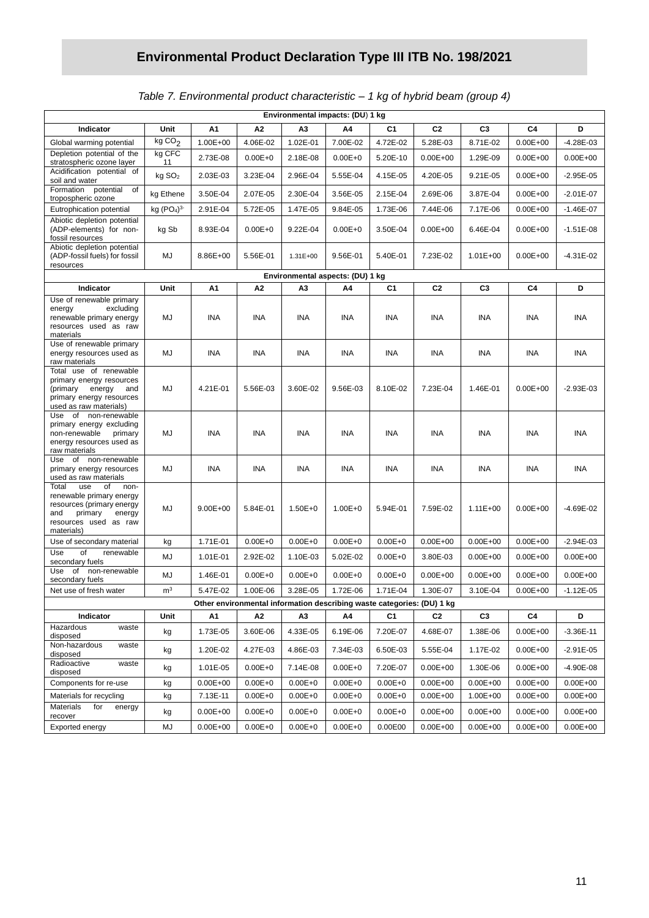| Table 7. Environmental product characteristic - 1 kg of hybrid beam (group 4) |  |  |
|-------------------------------------------------------------------------------|--|--|
|                                                                               |  |  |

|                                                                                                                                                        | Environmental impacts: (DU) 1 kg   |              |             |             |                                  |                                                                        |                |                |                |               |
|--------------------------------------------------------------------------------------------------------------------------------------------------------|------------------------------------|--------------|-------------|-------------|----------------------------------|------------------------------------------------------------------------|----------------|----------------|----------------|---------------|
| Indicator                                                                                                                                              | Unit                               | Α1           | А2          | ΑЗ          | A4                               | C <sub>1</sub>                                                         | C <sub>2</sub> | C <sub>3</sub> | C4             | D             |
| Global warming potential                                                                                                                               | kg CO <sub>2</sub>                 | 1.00E+00     | 4.06E-02    | 1.02E-01    | 7.00E-02                         | 4.72E-02                                                               | 5.28E-03       | 8.71E-02       | $0.00E + 00$   | -4.28E-03     |
| Depletion potential of the<br>stratospheric ozone layer                                                                                                | kg CFC<br>11                       | 2.73E-08     | $0.00E + 0$ | 2.18E-08    | $0.00E + 0$                      | 5.20E-10                                                               | $0.00E + 00$   | 1.29E-09       | $0.00E + 00$   | $0.00E + 00$  |
| Acidification potential of<br>soil and water                                                                                                           | kg SO <sub>2</sub>                 | 2.03E-03     | 3.23E-04    | 2.96E-04    | 5.55E-04                         | 4.15E-05                                                               | 4.20E-05       | 9.21E-05       | $0.00E + 00$   | $-2.95E-05$   |
| Formation potential<br>of<br>tropospheric ozone                                                                                                        | kg Ethene                          | 3.50E-04     | 2.07E-05    | 2.30E-04    | 3.56E-05                         | 2.15E-04                                                               | 2.69E-06       | 3.87E-04       | $0.00E + 00$   | $-2.01E-07$   |
| Eutrophication potential                                                                                                                               | kg (PO <sub>4</sub> ) <sup>3</sup> | 2.91E-04     | 5.72E-05    | 1.47E-05    | 9.84E-05                         | 1.73E-06                                                               | 7.44E-06       | 7.17E-06       | $0.00E + 00$   | $-1.46E - 07$ |
| Abiotic depletion potential<br>(ADP-elements) for non-<br>fossil resources                                                                             | kg Sb                              | 8.93E-04     | $0.00E + 0$ | 9.22E-04    | $0.00E + 0$                      | 3.50E-04                                                               | $0.00E + 00$   | 6.46E-04       | $0.00E + 00$   | $-1.51E-08$   |
| Abiotic depletion potential<br>(ADP-fossil fuels) for fossil<br>resources                                                                              | MJ                                 | 8.86E+00     | 5.56E-01    | 1.31E+00    | 9.56E-01                         | 5.40E-01                                                               | 7.23E-02       | $1.01E + 00$   | $0.00E + 00$   | $-4.31E - 02$ |
|                                                                                                                                                        |                                    |              |             |             | Environmental aspects: (DU) 1 kg |                                                                        |                |                |                |               |
| Indicator                                                                                                                                              | Unit                               | Α1           | Α2          | A3          | A4                               | C1                                                                     | C <sub>2</sub> | C <sub>3</sub> | C4             | D             |
| Use of renewable primary<br>excluding<br>energy<br>renewable primary energy<br>resources used as raw<br>materials                                      | MJ                                 | INA          | INA         | INA         | INA                              | INA                                                                    | INA            | INA            | <b>INA</b>     | INA           |
| Use of renewable primary<br>energy resources used as<br>raw materials                                                                                  | MJ                                 | INA          | INA         | INA         | INA                              | INA                                                                    | INA            | INA            | INA            | INA           |
| Total use of renewable<br>primary energy resources<br>(primary<br>energy<br>and<br>primary energy resources<br>used as raw materials)                  | MJ                                 | 4.21E-01     | 5.56E-03    | 3.60E-02    | 9.56E-03                         | 8.10E-02                                                               | 7.23E-04       | 1.46E-01       | $0.00E + 00$   | $-2.93E-03$   |
| Use of non-renewable<br>primary energy excluding<br>non-renewable<br>primary<br>energy resources used as<br>raw materials                              | MJ                                 | INA          | INA         | INA         | INA                              | INA                                                                    | INA            | INA            | <b>INA</b>     | ina           |
| Use of non-renewable<br>primary energy resources<br>used as raw materials                                                                              | MJ                                 | INA          | INA         | INA         | INA                              | INA                                                                    | INA            | <b>INA</b>     | <b>INA</b>     | INA           |
| Total<br>use<br>of<br>non-<br>renewable primary energy<br>resources (primary energy<br>and<br>primary<br>energy<br>resources used as raw<br>materials) | MJ                                 | $9.00E + 00$ | 5.84E-01    | $1.50E + 0$ | $1.00E + 0$                      | 5.94E-01                                                               | 7.59E-02       | $1.11E + 00$   | $0.00E + 00$   | $-4.69E - 02$ |
| Use of secondary material                                                                                                                              | kg                                 | 1.71E-01     | $0.00E + 0$ | $0.00E + 0$ | $0.00E + 0$                      | $0.00E + 0$                                                            | $0.00E + 00$   | $0.00E + 00$   | $0.00E + 00$   | $-2.94E-03$   |
| of<br>Use<br>renewable<br>secondary fuels                                                                                                              | MJ                                 | 1.01E-01     | 2.92E-02    | 1.10E-03    | 5.02E-02                         | $0.00E + 0$                                                            | 3.80E-03       | $0.00E + 00$   | $0.00E + 00$   | $0.00E + 00$  |
| of non-renewable<br>Use<br>secondary fuels                                                                                                             | MJ                                 | 1.46E-01     | $0.00E + 0$ | $0.00E + 0$ | $0.00E + 0$                      | $0.00E + 0$                                                            | $0.00E + 00$   | $0.00E + 00$   | $0.00E + 00$   | $0.00E + 00$  |
| Net use of fresh water                                                                                                                                 | m <sup>3</sup>                     | 5.47E-02     | 1.00E-06    | 3.28E-05    | 1.72E-06                         | 1.71E-04                                                               | 1.30E-07       | 3.10E-04       | $0.00E + 00$   | $-1.12E - 05$ |
|                                                                                                                                                        |                                    |              |             |             |                                  | Other environmental information describing waste categories: (DU) 1 kg |                |                |                |               |
| Indicator<br>Hazardous<br>waste                                                                                                                        | Unit                               | А1           | Α2          | A3          | A4                               | C <sub>1</sub>                                                         | C2             | C <sub>3</sub> | C <sub>4</sub> | D             |
| disposed<br>Non-hazardous<br>waste                                                                                                                     | kg                                 | 1.73E-05     | 3.60E-06    | 4.33E-05    | 6.19E-06                         | 7.20E-07                                                               | 4.68E-07       | 1.38E-06       | $0.00E + 00$   | $-3.36E-11$   |
| disposed                                                                                                                                               | kg                                 | 1.20E-02     | 4.27E-03    | 4.86E-03    | 7.34E-03                         | 6.50E-03                                                               | 5.55E-04       | 1.17E-02       | $0.00E + 00$   | $-2.91E-05$   |
| Radioactive<br>waste<br>disposed                                                                                                                       | kg                                 | 1.01E-05     | $0.00E + 0$ | 7.14E-08    | $0.00E + 0$                      | 7.20E-07                                                               | $0.00E + 00$   | 1.30E-06       | $0.00E + 00$   | $-4.90E - 08$ |
| Components for re-use                                                                                                                                  | kg                                 | $0.00E + 00$ | $0.00E + 0$ | $0.00E + 0$ | $0.00E + 0$                      | $0.00E + 0$                                                            | $0.00E + 00$   | $0.00E + 00$   | $0.00E + 00$   | $0.00E + 00$  |
| Materials for recycling<br>Materials<br>for<br>energy                                                                                                  | kg                                 | 7.13E-11     | $0.00E + 0$ | $0.00E + 0$ | $0.00E + 0$                      | $0.00E + 0$                                                            | $0.00E + 00$   | 1.00E+00       | $0.00E + 00$   | $0.00E + 00$  |
| recover                                                                                                                                                | kg                                 | $0.00E + 00$ | $0.00E + 0$ | $0.00E + 0$ | $0.00E + 0$                      | $0.00E + 0$                                                            | $0.00E + 00$   | $0.00E + 00$   | $0.00E + 00$   | $0.00E + 00$  |
| Exported energy                                                                                                                                        | MJ                                 | $0.00E + 00$ | $0.00E + 0$ | $0.00E + 0$ | $0.00E + 0$                      | 0.00E00                                                                | $0.00E + 00$   | $0.00E + 00$   | $0.00E + 00$   | $0.00E + 00$  |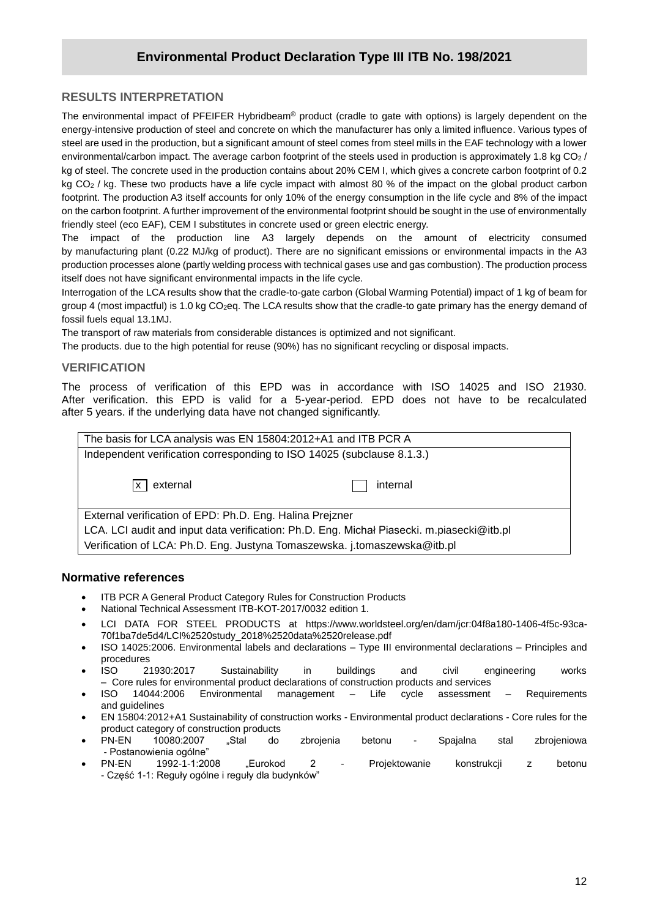#### **RESULTS INTERPRETATION**

**/2020** energy-intensive production of steel and concrete on which the manufacturer has only a limited influence. Various types of The environmental impact of PFEIFER Hybridbeam® product (cradle to gate with options) is largely dependent on the steel are used in the production, but a significant amount of steel comes from steel mills in the EAF technology with a lower environmental/carbon impact. The average carbon footprint of the steels used in production is approximately 1.8 kg CO<sub>2</sub> / kg of steel. The concrete used in the production contains about 20% CEM I, which gives a concrete carbon footprint of 0.2 kg CO<sub>2</sub> / kg. These two products have a life cycle impact with almost 80 % of the impact on the global product carbon footprint. The production A3 itself accounts for only 10% of the energy consumption in the life cycle and 8% of the impact on the carbon footprint. A further improvement of the environmental footprint should be sought in the use of environmentally friendly steel (eco EAF), CEM I substitutes in concrete used or green electric energy.

The impact of the production line A3 largely depends on the amount of electricity consumed by manufacturing plant (0.22 MJ/kg of product). There are no significant emissions or environmental impacts in the A3 production processes alone (partly welding process with technical gases use and gas combustion). The production process itself does not have significant environmental impacts in the life cycle.

Interrogation of the LCA results show that the cradle-to-gate carbon (Global Warming Potential) impact of 1 kg of beam for group 4 (most impactful) is 1.0 kg CO<sub>2</sub>eg. The LCA results show that the cradle-to gate primary has the energy demand of fossil fuels equal 13.1MJ.

The transport of raw materials from considerable distances is optimized and not significant.

The products. due to the high potential for reuse (90%) has no significant recycling or disposal impacts.

#### **VERIFICATION**

The process of verification of this EPD was in accordance with ISO 14025 and ISO 21930. After verification. this EPD is valid for a 5-year-period. EPD does not have to be recalculated after 5 years. if the underlying data have not changed significantly.

| The basis for LCA analysis was EN 15804:2012+A1 and ITB PCR A                             |          |  |  |  |  |  |
|-------------------------------------------------------------------------------------------|----------|--|--|--|--|--|
| Independent verification corresponding to ISO 14025 (subclause 8.1.3.)                    |          |  |  |  |  |  |
| external<br><b>X</b>                                                                      | internal |  |  |  |  |  |
| External verification of EPD: Ph.D. Eng. Halina Prejzner                                  |          |  |  |  |  |  |
| LCA. LCI audit and input data verification: Ph.D. Eng. Michal Piasecki. m.piasecki@itb.pl |          |  |  |  |  |  |
| Verification of LCA: Ph.D. Eng. Justyna Tomaszewska. j.tomaszewska@itb.pl                 |          |  |  |  |  |  |
|                                                                                           |          |  |  |  |  |  |

#### **Normative references**

- ITB PCR A General Product Category Rules for Construction Products
- National Technical Assessment ITB-KOT-2017/0032 edition 1.
- LCI DATA FOR STEEL PRODUCTS at [https://www.worldsteel.org/en/dam/jcr:04f8a180-1406-4f5c-93ca-](https://www.worldsteel.org/en/dam/jcr:04f8a180-1406-4f5c-93ca-70f1ba7de5d4/LCI%2520study_2018%2520data%2520release.pdf)[70f1ba7de5d4/LCI%2520study\\_2018%2520data%2520release.pdf](https://www.worldsteel.org/en/dam/jcr:04f8a180-1406-4f5c-93ca-70f1ba7de5d4/LCI%2520study_2018%2520data%2520release.pdf)
- ISO 14025:2006. Environmental labels and declarations Type III environmental declarations Principles and procedures
- ISO 21930:2017 Sustainability in buildings and civil engineering works – Core rules for environmental product declarations of construction products and services
- ISO 14044:2006 Environmental management Life cycle assessment Requirements and guidelines
- EN 15804:2012+A1 Sustainability of construction works Environmental product declarations Core rules for the product category of construction products
- PN-EN 10080:2007 "Stal do zbrojenia betonu Spajalna stal zbrojeniowa - Postanowienia ogólne"
- PN-EN 1992-1-1:2008 "Eurokod 2 Projektowanie konstrukcji z betonu - Część 1-1: Reguły ogólne i reguły dla budynków"